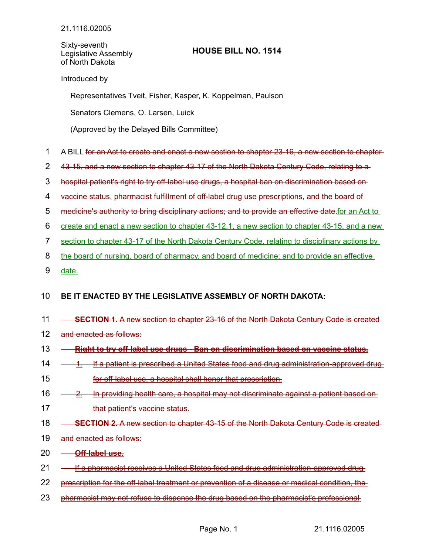Sixty-seventh Legislative Assembly of North Dakota

## **HOUSE BILL NO. 1514**

Introduced by

Representatives Tveit, Fisher, Kasper, K. Koppelman, Paulson

Senators Clemens, O. Larsen, Luick

(Approved by the Delayed Bills Committee)

- A BILL for an Act to create and enact a new section to chapter 23-16, a new section to chapter-1
- 43-15, and a new section to chapter 43-17 of the North Dakota Century Code, relating to a 2
- hospital patient's right to try off-label use drugs, a hospital ban on discrimination based on 3
- vaccine status, pharmacist fulfillment of off-label drug use prescriptions, and the board of 4
- medicine's authority to bring disciplinary actions; and to provide an effective date. for an Act to 5
- create and enact a new section to chapter 43-12.1, a new section to chapter 43-15, and a new 6
- section to chapter 43-17 of the North Dakota Century Code, relating to disciplinary actions by 7
- the board of nursing, board of pharmacy, and board of medicine; and to provide an effective 8
- date. 9

## **BE IT ENACTED BY THE LEGISLATIVE ASSEMBLY OF NORTH DAKOTA:** 10

**SECTION 1.** A new section to chapter 23-16 of the North Dakota Century Code is created and enacted as follows:  **Right to try off-label use drugs - Ban on discrimination based on vaccine status.** 1. If a patient is prescribed a United States food and drug administration-approved drug for off-label use, a hospital shall honor that prescription. In providing health care, a hospital may not discriminate against a patient based on that patient's vaccine status. **SECTION 2.** A new section to chapter 43-15 of the North Dakota Century Code is created and enacted as follows:  **Off-label use.** If a pharmacist receives a United States food and drug administration-approved drug prescription for the off-label treatment or prevention of a disease or medical condition, the pharmacist may not refuse to dispense the drug based on the pharmacist's professional 11 12 13 14 15 16 17 18 19 20 21 22 23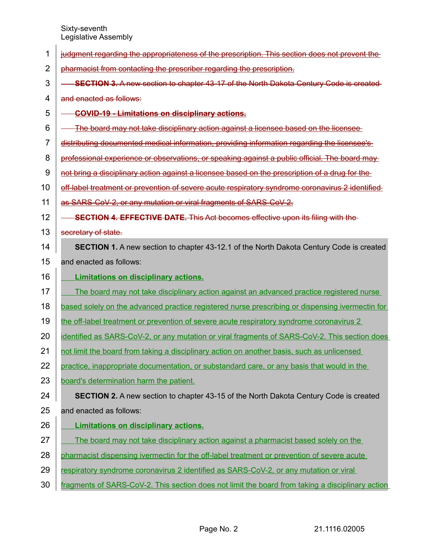Sixty-seventh Legislative Assembly

| 1              | judgment regarding the appropriateness of the prescription. This section does not prevent the    |
|----------------|--------------------------------------------------------------------------------------------------|
| $\overline{2}$ | pharmacist from contacting the prescriber regarding the prescription.                            |
| 3              | <b>SECTION 3.</b> A new section to chapter 43-17 of the North Dakota Century Code is created     |
| 4              | and enacted as follows:                                                                          |
| 5              | <b>COVID-19 - Limitations on disciplinary actions.</b>                                           |
| 6              | The board may not take disciplinary action against a licensee based on the licensee              |
| 7              | distributing documented medical information, providing information regarding the licensee's      |
| 8              | professional experience or observations, or speaking against a public official. The board may    |
| 9              | not bring a disciplinary action against a licensee based on the prescription of a drug for the   |
| 10             | off-label treatment or prevention of severe acute respiratory syndrome coronavirus 2 identified  |
| 11             | as SARS-CoV-2, or any mutation or viral fragments of SARS-CoV-2.                                 |
| 12             | <b>SECTION 4. EFFECTIVE DATE.</b> This Act becomes effective upon its filing with the            |
| 13             | secretary of state.                                                                              |
| 14             | <b>SECTION 1.</b> A new section to chapter 43-12.1 of the North Dakota Century Code is created   |
| 15             | and enacted as follows:                                                                          |
| 16             | <b>Limitations on disciplinary actions.</b>                                                      |
| 17             | The board may not take disciplinary action against an advanced practice registered nurse         |
| 18             | based solely on the advanced practice registered nurse prescribing or dispensing ivermectin for  |
| 19             | the off-label treatment or prevention of severe acute respiratory syndrome coronavirus 2         |
| 20             | identified as SARS-CoV-2, or any mutation or viral fragments of SARS-CoV-2. This section does    |
| 21             | not limit the board from taking a disciplinary action on another basis, such as unlicensed       |
| 22             | practice, inappropriate documentation, or substandard care, or any basis that would in the       |
| 23             | board's determination harm the patient.                                                          |
| 24             | <b>SECTION 2.</b> A new section to chapter 43-15 of the North Dakota Century Code is created     |
| 25             | and enacted as follows:                                                                          |
| 26             | <b>Limitations on disciplinary actions.</b>                                                      |
| 27             | The board may not take disciplinary action against a pharmacist based solely on the              |
| 28             | pharmacist dispensing ivermectin for the off-label treatment or prevention of severe acute       |
| 29             | respiratory syndrome coronavirus 2 identified as SARS-CoV-2, or any mutation or viral            |
| 30             | fragments of SARS-CoV-2. This section does not limit the board from taking a disciplinary action |